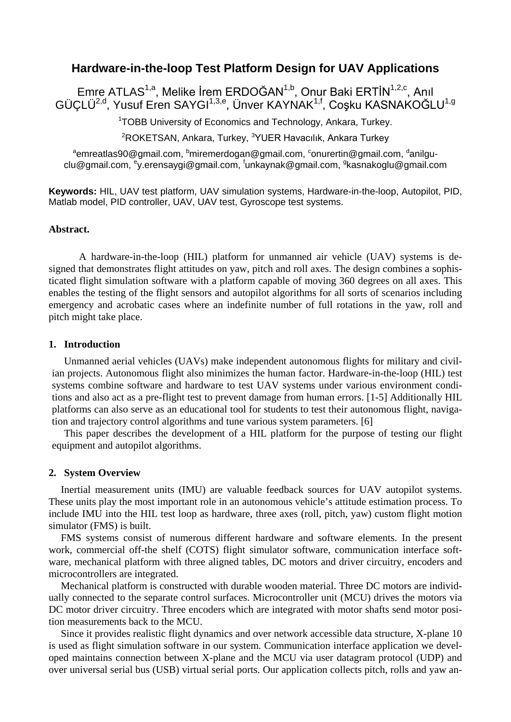### **Hardware-in-the-loop Test Platform Design for UAV Applications**

Emre ATLAS<sup>1,a</sup>, Melike İrem ERDOĞAN<sup>1,b</sup>, Onur Baki ERTİN<sup>1,2,c</sup>, Anıl GÜÇLÜ<sup>2,d</sup>, Yusuf Eren SAYGI<sup>1,3,e</sup>, Ünver KAYNAK<sup>1,f</sup>, Coşku KASNAKOĞLU<sup>1,g</sup>

<sup>1</sup> TOBB University of Economics and Technology, Ankara, Turkey.

<sup>2</sup>ROKETSAN, Ankara, Turkey, <sup>3</sup>YUER Havacılık, Ankara Turkey

 $^{\rm a}$ emreatlas90@gmail.com,  $^{\rm b}$ miremerdogan@gmail.com,  $^{\rm c}$ onurertin@gmail.com,  $^{\rm d}$ anilguclu@gmail.com, <sup>e</sup>y.erensaygi@gmail.com, <sup>f</sup>unkaynak@gmail.com, <sup>g</sup>kasnakoglu@gmail.com

**Keywords:** HIL, UAV test platform, UAV simulation systems, Hardware-in-the-loop, Autopilot, PID, Matlab model, PID controller, UAV, UAV test, Gyroscope test systems.

#### **Abstract.**

A hardware-in-the-loop (HIL) platform for unmanned air vehicle (UAV) systems is designed that demonstrates flight attitudes on yaw, pitch and roll axes. The design combines a sophisticated flight simulation software with a platform capable of moving 360 degrees on all axes. This enables the testing of the flight sensors and autopilot algorithms for all sorts of scenarios including emergency and acrobatic cases where an indefinite number of full rotations in the yaw, roll and pitch might take place.

#### **1. Introduction**

Unmanned aerial vehicles (UAVs) make independent autonomous flights for military and civilian projects. Autonomous flight also minimizes the human factor. Hardware-in-the-loop (HIL) test systems combine software and hardware to test UAV systems under various environment conditions and also act as a pre-flight test to prevent damage from human errors. [1-5] Additionally HIL platforms can also serve as an educational tool for students to test their autonomous flight, navigation and trajectory control algorithms and tune various system parameters. [6]

This paper describes the development of a HIL platform for the purpose of testing our flight equipment and autopilot algorithms.

#### **2. System Overview**

Inertial measurement units (IMU) are valuable feedback sources for UAV autopilot systems. These units play the most important role in an autonomous vehicle's attitude estimation process. To include IMU into the HIL test loop as hardware, three axes (roll, pitch, yaw) custom flight motion simulator (FMS) is built.

FMS systems consist of numerous different hardware and software elements. In the present work, commercial off-the shelf (COTS) flight simulator software, communication interface software, mechanical platform with three aligned tables, DC motors and driver circuitry, encoders and microcontrollers are integrated.

Mechanical platform is constructed with durable wooden material. Three DC motors are individually connected to the separate control surfaces. Microcontroller unit (MCU) drives the motors via DC motor driver circuitry. Three encoders which are integrated with motor shafts send motor position measurements back to the MCU.

Since it provides realistic flight dynamics and over network accessible data structure, X-plane 10 is used as flight simulation software in our system. Communication interface application we developed maintains connection between X-plane and the MCU via user datagram protocol (UDP) and over universal serial bus (USB) virtual serial ports. Our application collects pitch, rolls and yaw an-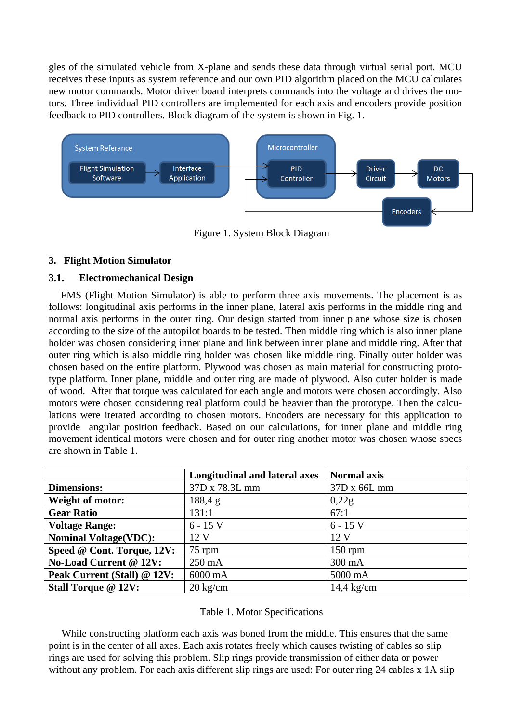gles of the simulated vehicle from X-plane and sends these data through virtual serial port. MCU receives these inputs as system reference and our own PID algorithm placed on the MCU calculates new motor commands. Motor driver board interprets commands into the voltage and drives the motors. Three individual PID controllers are implemented for each axis and encoders provide position feedback to PID controllers. Block diagram of the system is shown in Fig. 1.



Figure 1. System Block Diagram

## **3. Flight Motion Simulator**

## **3.1. Electromechanical Design**

FMS (Flight Motion Simulator) is able to perform three axis movements. The placement is as follows: longitudinal axis performs in the inner plane, lateral axis performs in the middle ring and normal axis performs in the outer ring. Our design started from inner plane whose size is chosen according to the size of the autopilot boards to be tested. Then middle ring which is also inner plane holder was chosen considering inner plane and link between inner plane and middle ring. After that outer ring which is also middle ring holder was chosen like middle ring. Finally outer holder was chosen based on the entire platform. Plywood was chosen as main material for constructing prototype platform. Inner plane, middle and outer ring are made of plywood. Also outer holder is made of wood. After that torque was calculated for each angle and motors were chosen accordingly. Also motors were chosen considering real platform could be heavier than the prototype. Then the calculations were iterated according to chosen motors. Encoders are necessary for this application to provide angular position feedback. Based on our calculations, for inner plane and middle ring movement identical motors were chosen and for outer ring another motor was chosen whose specs are shown in Table 1.

|                              | <b>Longitudinal and lateral axes</b> | <b>Normal axis</b> |
|------------------------------|--------------------------------------|--------------------|
| <b>Dimensions:</b>           | 37D x 78.3L mm                       | 37D x 66L mm       |
| Weight of motor:             | 188,4 g                              | 0,22g              |
| <b>Gear Ratio</b>            | 131:1                                | 67:1               |
| <b>Voltage Range:</b>        | $6 - 15$ V                           | $6 - 15$ V         |
| <b>Nominal Voltage(VDC):</b> | 12 V                                 | 12V                |
| Speed @ Cont. Torque, 12V:   | $75$ rpm                             | $150$ rpm          |
| No-Load Current @ 12V:       | 250 mA                               | 300 mA             |
| Peak Current (Stall) @ 12V:  | 6000 mA                              | 5000 mA            |
| <b>Stall Torque @ 12V:</b>   | $20 \text{ kg/cm}$                   | $14,4$ kg/cm       |

### Table 1. Motor Specifications

While constructing platform each axis was boned from the middle. This ensures that the same point is in the center of all axes. Each axis rotates freely which causes twisting of cables so slip rings are used for solving this problem. Slip rings provide transmission of either data or power without any problem. For each axis different slip rings are used: For outer ring 24 cables x 1A slip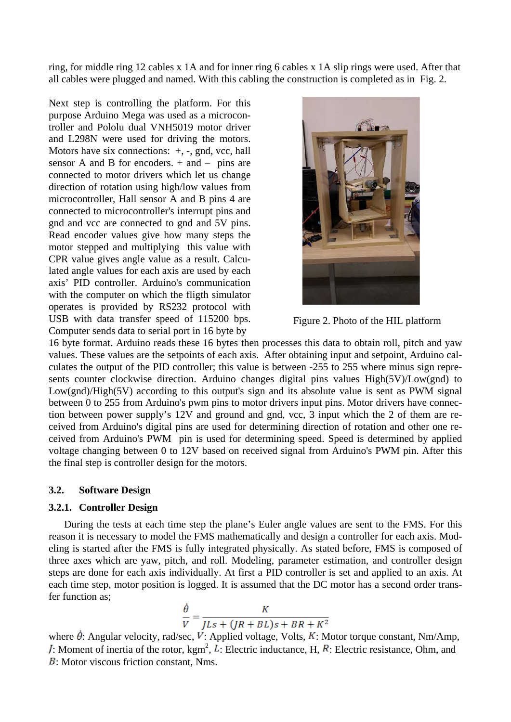ring, for middle ring 12 cables x 1A and for inner ring 6 cables x 1A slip rings were used. After that all cables were plugged and named. With this cabling the construction is completed as in Fig. 2.

Next step is controlling the platform. For this purpose Arduino Mega was used as a microcontroller and Pololu dual VNH5019 motor driver and L298N were used for driving the motors. Motors have six connections:  $+$ ,  $-$ , gnd, vcc, hall sensor A and B for encoders.  $+$  and  $-$  pins are connected to motor drivers which let us change direction of rotation using high/low values from microcontroller, Hall sensor A and B pins 4 are connected to microcontroller's interrupt pins and gnd and vcc are connected to gnd and 5V pins. Read encoder values give how many steps the motor stepped and multiplying this value with CPR value gives angle value as a result. Calculated angle values for each axis are used by each axis' PID controller. Arduino's communication with the computer on which the fligth simulator operates is provided by RS232 protocol with USB with data transfer speed of 115200 bps. Computer sends data to serial port in 16 byte by



Figure 2. Photo of the HIL platform

16 byte format. Arduino reads these 16 bytes then processes this data to obtain roll, pitch and yaw values. These values are the setpoints of each axis. After obtaining input and setpoint, Arduino calculates the output of the PID controller; this value is between -255 to 255 where minus sign represents counter clockwise direction. Arduino changes digital pins values High(5V)/Low(gnd) to Low(gnd)/High(5V) according to this output's sign and its absolute value is sent as PWM signal between 0 to 255 from Arduino's pwm pins to motor drivers input pins. Motor drivers have connection between power supply's 12V and ground and gnd, vcc, 3 input which the 2 of them are received from Arduino's digital pins are used for determining direction of rotation and other one received from Arduino's PWM pin is used for determining speed. Speed is determined by applied voltage changing between 0 to 12V based on received signal from Arduino's PWM pin. After this the final step is controller design for the motors.

#### **3.2. Software Design**

#### **3.2.1. Controller Design**

During the tests at each time step the plane's Euler angle values are sent to the FMS. For this reason it is necessary to model the FMS mathematically and design a controller for each axis. Modeling is started after the FMS is fully integrated physically. As stated before, FMS is composed of three axes which are yaw, pitch, and roll. Modeling, parameter estimation, and controller design steps are done for each axis individually. At first a PID controller is set and applied to an axis. At each time step, motor position is logged. It is assumed that the DC motor has a second order transfer function as;

$$
\frac{\dot{\theta}}{V} = \frac{K}{JLs + (JR + BL)s + BR + K^2}
$$

where  $\dot{\theta}$ : Angular velocity, rad/sec, V: Applied voltage, Volts, K: Motor torque constant, Nm/Amp, : Moment of inertia of the rotor,  $\text{kgm}^2$ , L: Electric inductance, H, R: Electric resistance, Ohm, and  $\overline{B}$ : Motor viscous friction constant, Nms.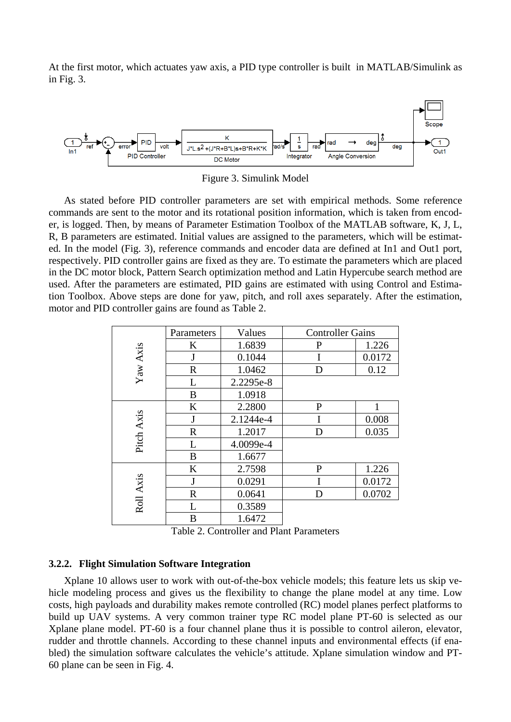At the first motor, which actuates yaw axis, a PID type controller is built in MATLAB/Simulink as in Fig. 3.



Figure 3. Simulink Model

As stated before PID controller parameters are set with empirical methods. Some reference commands are sent to the motor and its rotational position information, which is taken from encoder, is logged. Then, by means of Parameter Estimation Toolbox of the MATLAB software, K, J, L, R, B parameters are estimated. Initial values are assigned to the parameters, which will be estimated. In the model (Fig. 3), reference commands and encoder data are defined at In1 and Out1 port, respectively. PID controller gains are fixed as they are. To estimate the parameters which are placed in the DC motor block, Pattern Search optimization method and Latin Hypercube search method are used. After the parameters are estimated, PID gains are estimated with using Control and Estimation Toolbox. Above steps are done for yaw, pitch, and roll axes separately. After the estimation, motor and PID controller gains are found as Table 2.

|            | Parameters  | Values    | <b>Controller Gains</b> |        |
|------------|-------------|-----------|-------------------------|--------|
| Yaw Axis   | K           | 1.6839    | P                       | 1.226  |
|            | J           | 0.1044    |                         | 0.0172 |
|            | $\mathbf R$ | 1.0462    | D                       | 0.12   |
|            | L           | 2.2295e-8 |                         |        |
|            | B           | 1.0918    |                         |        |
| Pitch Axis | K           | 2.2800    | P                       |        |
|            | J           | 2.1244e-4 | I                       | 0.008  |
|            | $\mathbf R$ | 1.2017    | D                       | 0.035  |
|            | L           | 4.0099e-4 |                         |        |
|            | B           | 1.6677    |                         |        |
| Roll Axis  | K           | 2.7598    | $\mathbf P$             | 1.226  |
|            | J           | 0.0291    | I                       | 0.0172 |
|            | R           | 0.0641    | D                       | 0.0702 |
|            | L           | 0.3589    |                         |        |
|            | B           | 1.6472    |                         |        |

Table 2. Controller and Plant Parameters

#### **3.2.2. Flight Simulation Software Integration**

Xplane 10 allows user to work with out-of-the-box vehicle models; this feature lets us skip vehicle modeling process and gives us the flexibility to change the plane model at any time. Low costs, high payloads and durability makes remote controlled (RC) model planes perfect platforms to build up UAV systems. A very common trainer type RC model plane PT-60 is selected as our Xplane plane model. PT-60 is a four channel plane thus it is possible to control aileron, elevator, rudder and throttle channels. According to these channel inputs and environmental effects (if enabled) the simulation software calculates the vehicle's attitude. Xplane simulation window and PT-60 plane can be seen in Fig. 4.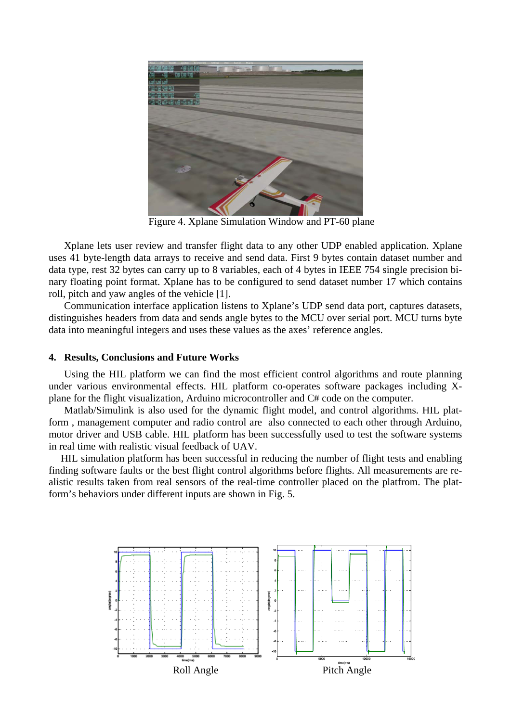

Figure 4. Xplane Simulation Window and PT-60 plane

Xplane lets user review and transfer flight data to any other UDP enabled application. Xplane uses 41 byte-length data arrays to receive and send data. First 9 bytes contain dataset number and data type, rest 32 bytes can carry up to 8 variables, each of 4 bytes in IEEE 754 single precision binary floating point format. Xplane has to be configured to send dataset number 17 which contains roll, pitch and yaw angles of the vehicle [1].

Communication interface application listens to Xplane's UDP send data port, captures datasets, distinguishes headers from data and sends angle bytes to the MCU over serial port. MCU turns byte data into meaningful integers and uses these values as the axes' reference angles.

### **4. Results, Conclusions and Future Works**

Using the HIL platform we can find the most efficient control algorithms and route planning under various environmental effects. HIL platform co-operates software packages including Xplane for the flight visualization, Arduino microcontroller and C# code on the computer.

Matlab/Simulink is also used for the dynamic flight model, and control algorithms. HIL platform , management computer and radio control are also connected to each other through Arduino, motor driver and USB cable. HIL platform has been successfully used to test the software systems in real time with realistic visual feedback of UAV.

HIL simulation platform has been successful in reducing the number of flight tests and enabling finding software faults or the best flight control algorithms before flights. All measurements are realistic results taken from real sensors of the real-time controller placed on the platfrom. The platform's behaviors under different inputs are shown in Fig. 5.